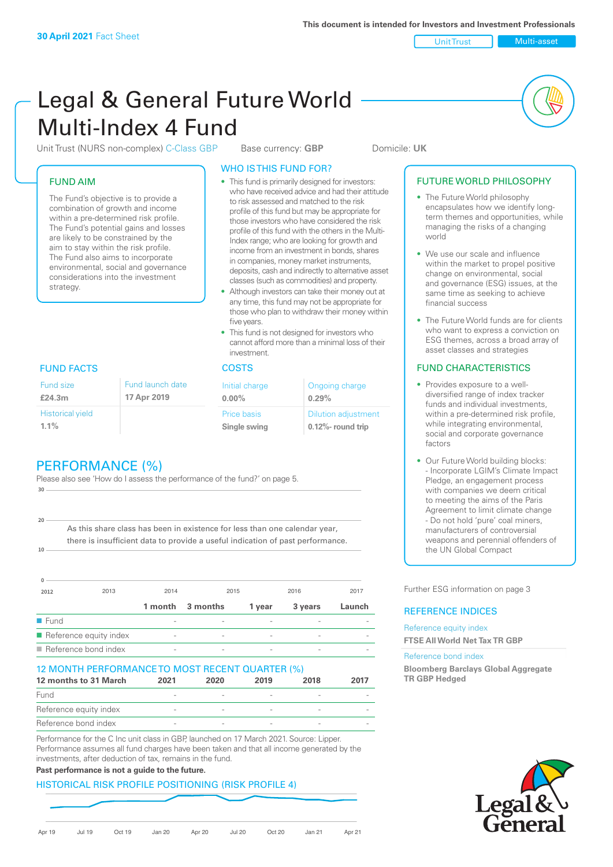Unit Trust Multi-asset

# Legal & General Future World Multi-Index 4 Fund

Unit Trust (NURS non-complex) C-Class GBP Base currency: **GBP** Domicile: UK

# FUND AIM

The Fund's objective is to provide a combination of growth and income within a pre-determined risk profile. The Fund's potential gains and losses are likely to be constrained by the aim to stay within the risk profile. The Fund also aims to incorporate environmental, social and governance considerations into the investment strategy.

# WHO IS THIS FUND FOR?

- This fund is primarily designed for investors: who have received advice and had their attitude to risk assessed and matched to the risk profile of this fund but may be appropriate for those investors who have considered the risk profile of this fund with the others in the Multi-Index range; who are looking for growth and income from an investment in bonds, shares in companies, money market instruments, deposits, cash and indirectly to alternative asset classes (such as commodities) and property.
- Although investors can take their money out at any time, this fund may not be appropriate for those who plan to withdraw their money within five years.
- This fund is not designed for investors who cannot afford more than a minimal loss of their investment.

# FUND FACTS COSTS

| <b>Fund launch date</b> | Initial charge              | Ongoing charge                                      |
|-------------------------|-----------------------------|-----------------------------------------------------|
| 17 Apr 2019             | $0.00\%$                    | 0.29%                                               |
|                         | Price basis<br>Single swing | <b>Dilution adjustment</b><br>$0.12\%$ - round trip |

# Fund size

Historical yield

**£24.3m**

**1.1%**

**10**

**20**

| PERFORMANCE (%) |  |
|-----------------|--|

Please also see 'How do I assess the performance of the fund?' on page 5. **30**

As this share class has been in existence for less than one calendar year, there is insufficient data to provide a useful indication of past performance.

| 0                   |                                       |                          |                          |        |         |        |
|---------------------|---------------------------------------|--------------------------|--------------------------|--------|---------|--------|
| 2012                | 2013                                  | 2014                     |                          | 2015   | 2016    | 2017   |
|                     |                                       | 1 month                  | 3 months                 | 1 year | 3 years | Launch |
| $\blacksquare$ Fund |                                       |                          |                          |        |         |        |
|                     | $\blacksquare$ Reference equity index | $\overline{\phantom{0}}$ | $\overline{\phantom{0}}$ | -      |         |        |
|                     | $\blacksquare$ Reference bond index   | $\overline{\phantom{a}}$ |                          |        |         |        |

### 12 MONTH PERFORMANCE TO MOST RECENT QUARTER (%)

| 12 months to 31 March  | 2021 | 2020 | 2019 | 2018                     | 2017 |
|------------------------|------|------|------|--------------------------|------|
| Fund                   |      |      |      |                          |      |
| Reference equity index |      |      |      |                          |      |
| Reference bond index   |      |      |      | $\overline{\phantom{a}}$ |      |

Performance for the C Inc unit class in GBP, launched on 17 March 2021. Source: Lipper. Performance assumes all fund charges have been taken and that all income generated by the investments, after deduction of tax, remains in the fund.

# **Past performance is not a guide to the future.**

#### HISTORICAL RISK PROFILE POSITIONING (RISK PROFILE 4)



# FUTURE WORLD PHILOSOPHY

- The Future World philosophy encapsulates how we identify longterm themes and opportunities, while managing the risks of a changing world
- We use our scale and influence within the market to propel positive change on environmental, social and governance (ESG) issues, at the same time as seeking to achieve financial success
- The Future World funds are for clients who want to express a conviction on ESG themes, across a broad array of asset classes and strategies

# FUND CHARACTERISTICS

- Provides exposure to a welldiversified range of index tracker funds and individual investments, within a pre-determined risk profile while integrating environmental, social and corporate governance factors
- Our Future World building blocks: - Incorporate LGIM's Climate Impact Pledge, an engagement process with companies we deem critical to meeting the aims of the Paris Agreement to limit climate change - Do not hold 'pure' coal miners, manufacturers of controversial weapons and perennial offenders of the UN Global Compact

Further ESG information on page 3

# REFERENCE INDICES

Reference equity index **FTSE All World Net Tax TR GBP**

#### Reference bond index

**Bloomberg Barclays Global Aggregate TR GBP Hedged**

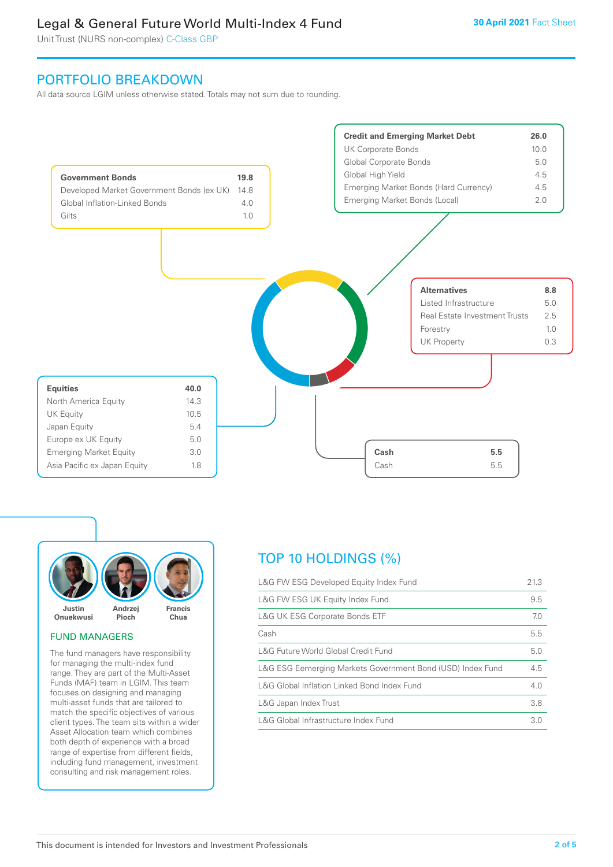Unit Trust (NURS non-complex) C-Class GBP

# PORTFOLIO BREAKDOWN

All data source LGIM unless otherwise stated. Totals may not sum due to rounding.





# FUND MANAGERS

The fund managers have responsibility for managing the multi-index fund range. They are part of the Multi-Asset Funds (MAF) team in LGIM. This team focuses on designing and managing multi-asset funds that are tailored to match the specific objectives of various client types. The team sits within a wider Asset Allocation team which combines both depth of experience with a broad range of expertise from different fields, including fund management, investment consulting and risk management roles.

# TOP 10 HOLDINGS (%)

| L&G FW ESG Developed Equity Index Fund                     | 21.3 |
|------------------------------------------------------------|------|
| L&G FW ESG UK Equity Index Fund                            | 9.5  |
| <b>L&amp;G UK ESG Corporate Bonds ETF</b>                  | 7.0  |
| Cash                                                       | 5.5  |
| L&G Future World Global Credit Fund                        | 5.0  |
| L&G ESG Eemerging Markets Government Bond (USD) Index Fund | 4.5  |
| L&G Global Inflation Linked Bond Index Fund                | 4.0  |
| L&G Japan Index Trust                                      | 3.8  |
| L&G Global Infrastructure Index Fund                       | 3.0  |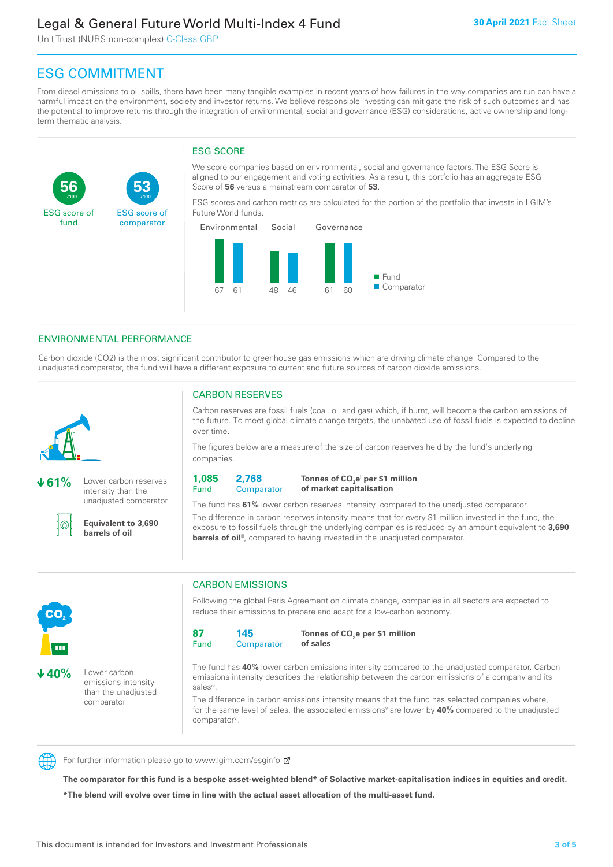Unit Trust (NURS non-complex) C-Class GBP

**53**

ESG score of comparator

# ESG COMMITMENT

**/100 /100**

From diesel emissions to oil spills, there have been many tangible examples in recent years of how failures in the way companies are run can have a harmful impact on the environment, society and investor returns. We believe responsible investing can mitigate the risk of such outcomes and has the potential to improve returns through the integration of environmental, social and governance (ESG) considerations, active ownership and longterm thematic analysis.

# ESG SCORE

We score companies based on environmental, social and governance factors. The ESG Score is aligned to our engagement and voting activities. As a result, this portfolio has an aggregate ESG Score of **56** versus a mainstream comparator of **53**.

ESG scores and carbon metrics are calculated for the portion of the portfolio that invests in LGIM's Future World funds.



# ENVIRONMENTAL PERFORMANCE

**61%** Lower carbon reserves intensity than the unadjusted comparator

> **Equivalent to 3,690 barrels of oil**

Carbon dioxide (CO2) is the most significant contributor to greenhouse gas emissions which are driving climate change. Compared to the unadjusted comparator, the fund will have a different exposure to current and future sources of carbon dioxide emissions.



൘

**56**

ESG score of fund

CARBON RESERVES

Carbon reserves are fossil fuels (coal, oil and gas) which, if burnt, will become the carbon emissions of the future. To meet global climate change targets, the unabated use of fossil fuels is expected to decline over time.

The figures below are a measure of the size of carbon reserves held by the fund's underlying companies.

**1,085** Fund

**2,768 Comparator** 

**Tonnes of CO2 ei per \$1 million of market capitalisation**

The fund has **61%** lower carbon reserves intensityii compared to the unadjusted comparator. The difference in carbon reserves intensity means that for every \$1 million invested in the fund, the exposure to fossil fuels through the underlying companies is reduced by an amount equivalent to **3,690 barrels of oil**<sup>iii</sup>, compared to having invested in the unadjusted comparator.



**40%** Lower carbon

emissions intensity than the unadjusted comparator

CARBON EMISSIONS

Following the global Paris Agreement on climate change, companies in all sectors are expected to reduce their emissions to prepare and adapt for a low-carbon economy.



**Tonnes of CO2 e per \$1 million of sales**

The fund has **40%** lower carbon emissions intensity compared to the unadjusted comparator. Carbon emissions intensity describes the relationship between the carbon emissions of a company and its salesiv

The difference in carbon emissions intensity means that the fund has selected companies where, for the same level of sales, the associated emissions<sup>v</sup> are lower by 40% compared to the unadjusted comparator<sup>vi</sup>.



For further information please go to www.lgim.com/esginfo Ø

**The comparator for this fund is a bespoke asset-weighted blend\* of Solactive market-capitalisation indices in equities and credit. \*The blend will evolve over time in line with the actual asset allocation of the multi-asset fund.**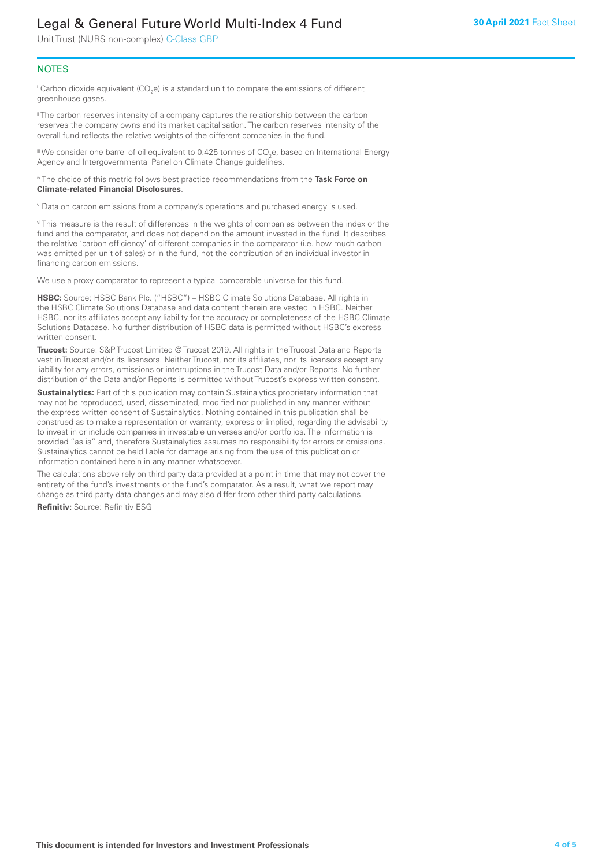Unit Trust (NURS non-complex) C-Class GBP

# **NOTES**

 $^\mathrm{i}$  Carbon dioxide equivalent (CO<sub>2</sub>e) is a standard unit to compare the emissions of different greenhouse gases.

<sup>ii</sup> The carbon reserves intensity of a company captures the relationship between the carbon reserves the company owns and its market capitalisation. The carbon reserves intensity of the overall fund reflects the relative weights of the different companies in the fund.

iii We consider one barrel of oil equivalent to 0.425 tonnes of CO<sub>2</sub>e, based on International Energy Agency and Intergovernmental Panel on Climate Change guidelines.

#### iv The choice of this metric follows best practice recommendations from the **Task Force on Climate-related Financial Disclosures**.

v Data on carbon emissions from a company's operations and purchased energy is used.

vi This measure is the result of differences in the weights of companies between the index or the fund and the comparator, and does not depend on the amount invested in the fund. It describes the relative 'carbon efficiency' of different companies in the comparator (i.e. how much carbon was emitted per unit of sales) or in the fund, not the contribution of an individual investor in financing carbon emissions.

We use a proxy comparator to represent a typical comparable universe for this fund.

**HSBC:** Source: HSBC Bank Plc. ("HSBC") – HSBC Climate Solutions Database. All rights in the HSBC Climate Solutions Database and data content therein are vested in HSBC. Neither HSBC, nor its affiliates accept any liability for the accuracy or completeness of the HSBC Climate Solutions Database. No further distribution of HSBC data is permitted without HSBC's express written consent.

**Trucost:** Source: S&P Trucost Limited © Trucost 2019. All rights in the Trucost Data and Reports vest in Trucost and/or its licensors. Neither Trucost, nor its affiliates, nor its licensors accept any liability for any errors, omissions or interruptions in the Trucost Data and/or Reports. No further distribution of the Data and/or Reports is permitted without Trucost's express written consent.

**Sustainalytics:** Part of this publication may contain Sustainalytics proprietary information that may not be reproduced, used, disseminated, modified nor published in any manner without the express written consent of Sustainalytics. Nothing contained in this publication shall be construed as to make a representation or warranty, express or implied, regarding the advisability to invest in or include companies in investable universes and/or portfolios. The information is provided "as is" and, therefore Sustainalytics assumes no responsibility for errors or omissions. Sustainalytics cannot be held liable for damage arising from the use of this publication or information contained herein in any manner whatsoever.

The calculations above rely on third party data provided at a point in time that may not cover the entirety of the fund's investments or the fund's comparator. As a result, what we report may change as third party data changes and may also differ from other third party calculations.

**Refinitiv:** Source: Refinitiv ESG